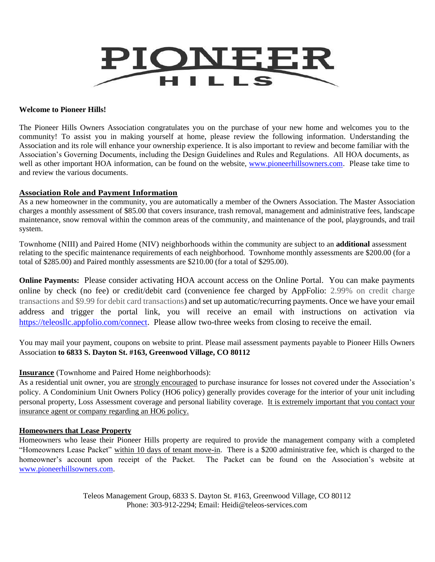

#### **Welcome to Pioneer Hills!**

The Pioneer Hills Owners Association congratulates you on the purchase of your new home and welcomes you to the community! To assist you in making yourself at home, please review the following information. Understanding the Association and its role will enhance your ownership experience. It is also important to review and become familiar with the Association's Governing Documents, including the Design Guidelines and Rules and Regulations. All HOA documents, as well as other important HOA information, can be found on the website, [www.pioneerhillsowners.com.](http://www.pioneerhillsowners.com/) Please take time to and review the various documents.

### **Association Role and Payment Information**

As a new homeowner in the community, you are automatically a member of the Owners Association. The Master Association charges a monthly assessment of \$85.00 that covers insurance, trash removal, management and administrative fees, landscape maintenance, snow removal within the common areas of the community, and maintenance of the pool, playgrounds, and trail system.

Townhome (NIII) and Paired Home (NIV) neighborhoods within the community are subject to an **additional** assessment relating to the specific maintenance requirements of each neighborhood. Townhome monthly assessments are \$200.00 (for a total of \$285.00) and Paired monthly assessments are \$210.00 (for a total of \$295.00).

**Online Payments:** Please consider activating HOA account access on the Online Portal. You can make payments online by check (no fee) or credit/debit card (convenience fee charged by AppFolio: 2.99% on credit charge transactions and \$9.99 for debit card transactions) and set up automatic/recurring payments. Once we have your email address and trigger the portal link, you will receive an email with instructions on activation via [https://teleosllc.appfolio.com/connect.](https://teleosllc.appfolio.com/connect) Please allow two-three weeks from closing to receive the email.

You may mail your payment, coupons on website to print. Please mail assessment payments payable to Pioneer Hills Owners Association **to 6833 S. Dayton St. #163, Greenwood Village, CO 80112**

### **Insurance** (Townhome and Paired Home neighborhoods):

As a residential unit owner, you are strongly encouraged to purchase insurance for losses not covered under the Association's policy. A Condominium Unit Owners Policy (HO6 policy) generally provides coverage for the interior of your unit including personal property, Loss Assessment coverage and personal liability coverage. It is extremely important that you contact your insurance agent or company regarding an HO6 policy.

### **Homeowners that Lease Property**

Homeowners who lease their Pioneer Hills property are required to provide the management company with a completed "Homeowners Lease Packet" within 10 days of tenant move-in. There is a \$200 administrative fee, which is charged to the homeowner's account upon receipt of the Packet. The Packet can be found on the Association's website at [www.pioneerhillsowners.com.](http://www.pioneerhillsowners.com/)

> Teleos Management Group, 6833 S. Dayton St. #163, Greenwood Village, CO 80112 Phone: 303-912-2294; Email: Heidi@teleos-services.com